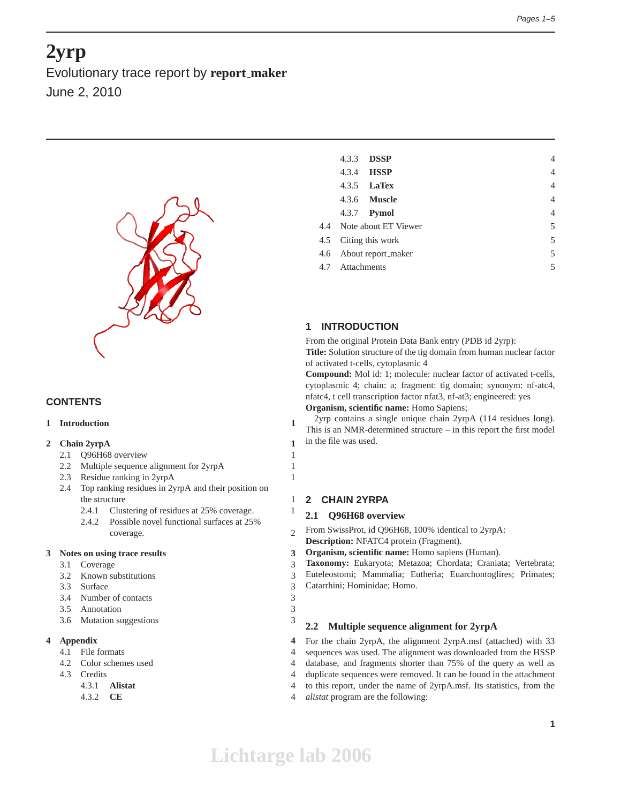# **2yrp**

Evolutionary trace report by **report maker** June 2, 2010



# **CONTENTS**

## **1 Introduction 1**

## **2 Chain 2yrpA 1**

- 2.1 Q96H68 overview 1
- 2.2 Multiple sequence alignment for 2yrpA 1
- 2.3 Residue ranking in 2yrpA 1
- 2.4 Top ranking residues in 2yrpA and their position on the structure 1
	- 2.4.1 Clustering of residues at 25% coverage. 1
	- 2.4.2 Possible novel functional surfaces at 25% coverage. 2

#### **3 Notes on using trace results 3**

- 3.1 Coverage 3
- 3.2 Known substitutions 3
- 3.3 Surface 3
- 3.4 Number of contacts 3
- 3.5 Annotation 3
- 3.6 Mutation suggestions 3

# **4 Appendix 4**

- 4.1 File formats 4
- 4.2 Color schemes used 4
- 4.3 Credits 4
	- 4.3.1 **Alistat** 4
	- 4.3.2 **CE** 4

| 4.3.3                       | <b>DSSP</b>              |  | 4              |
|-----------------------------|--------------------------|--|----------------|
| 4.3.4                       | <b>HSSP</b>              |  | $\overline{4}$ |
|                             | 4.3.5 <b>LaTex</b>       |  | $\overline{4}$ |
|                             | 4.3.6 <b>Muscle</b>      |  | $\overline{4}$ |
|                             | 4.3.7 <b>Pymol</b>       |  | $\overline{4}$ |
|                             | 4.4 Note about ET Viewer |  | 5              |
|                             | 4.5 Citing this work     |  | 5              |
| 5<br>4.6 About report_maker |                          |  |                |
| 4.7 Attachments             |                          |  | 5              |
|                             |                          |  |                |

# **1 INTRODUCTION**

From the original Protein Data Bank entry (PDB id 2yrp): **Title:** Solution structure of the tig domain from human nuclear factor

of activated t-cells, cytoplasmic 4

**Compound:** Mol id: 1; molecule: nuclear factor of activated t-cells, cytoplasmic 4; chain: a; fragment: tig domain; synonym: nf-atc4, nfatc4, t cell transcription factor nfat3, nf-at3; engineered: yes **Organism, scientific name:** Homo Sapiens;

2yrp contains a single unique chain 2yrpA (114 residues long). This is an NMR-determined structure – in this report the first model in the file was used.

## **2 CHAIN 2YRPA**

## **2.1 Q96H68 overview**

From SwissProt, id Q96H68, 100% identical to 2yrpA: **Description:** NFATC4 protein (Fragment).

- **Organism, scientific name:** Homo sapiens (Human).
- **Taxonomy:** Eukaryota; Metazoa; Chordata; Craniata; Vertebrata;

Euteleostomi; Mammalia; Eutheria; Euarchontoglires; Primates; Catarrhini; Hominidae; Homo.

## **2.2 Multiple sequence alignment for 2yrpA**

For the chain 2yrpA, the alignment 2yrpA.msf (attached) with 33 sequences was used. The alignment was downloaded from the HSSP database, and fragments shorter than 75% of the query as well as duplicate sequences were removed. It can be found in the attachment to this report, under the name of 2yrpA.msf. Its statistics, from the *alistat* program are the following: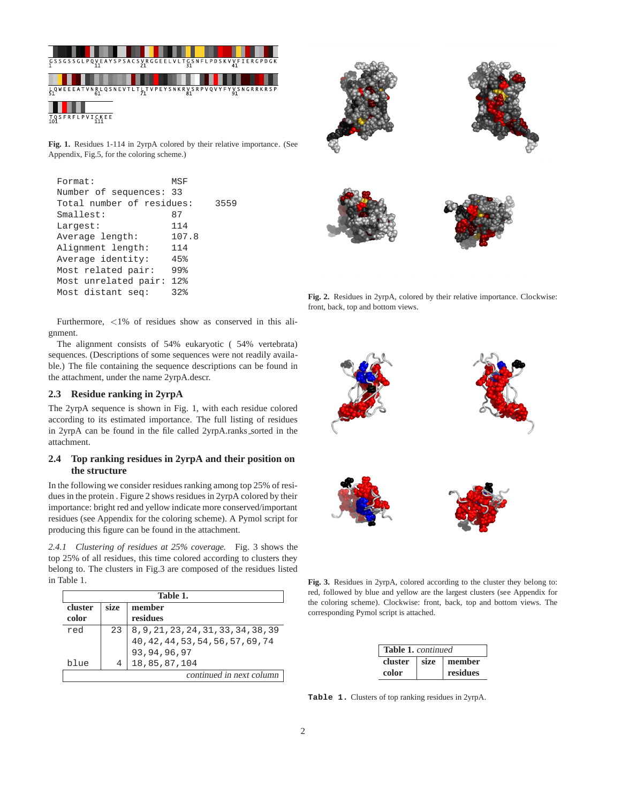

**Fig. 1.** Residues 1-114 in 2yrpA colored by their relative importance. (See Appendix, Fig.5, for the coloring scheme.)

| Format:                   | MSF               |      |
|---------------------------|-------------------|------|
| Number of sequences: 33   |                   |      |
| Total number of residues: |                   | 3559 |
| Smallest:                 | 87                |      |
| Largest:                  | 114               |      |
| Average length:           | 107.8             |      |
| Alignment length:         | 114               |      |
| Average identity:         | 45%               |      |
| Most related pair:        | 99%               |      |
| Most unrelated pair:      | $12$ <sup>2</sup> |      |
| Most distant seq:         | 32%               |      |

Furthermore, <1% of residues show as conserved in this alignment.

The alignment consists of 54% eukaryotic ( 54% vertebrata) sequences. (Descriptions of some sequences were not readily available.) The file containing the sequence descriptions can be found in the attachment, under the name 2yrpA.descr.

## **2.3 Residue ranking in 2yrpA**

The 2yrpA sequence is shown in Fig. 1, with each residue colored according to its estimated importance. The full listing of residues in 2yrpA can be found in the file called 2yrpA.ranks\_sorted in the attachment.

## **2.4 Top ranking residues in 2yrpA and their position on the structure**

In the following we consider residues ranking among top 25% of residues in the protein . Figure 2 shows residues in 2yrpA colored by their importance: bright red and yellow indicate more conserved/important residues (see Appendix for the coloring scheme). A Pymol script for producing this figure can be found in the attachment.

*2.4.1 Clustering of residues at 25% coverage.* Fig. 3 shows the top 25% of all residues, this time colored according to clusters they belong to. The clusters in Fig.3 are composed of the residues listed in Table 1.

| Table 1. |      |                                      |
|----------|------|--------------------------------------|
| cluster  | size | member                               |
| color    |      | residues                             |
| red      | 23   | 8, 9, 21, 23, 24, 31, 33, 34, 38, 39 |
|          |      | 40, 42, 44, 53, 54, 56, 57, 69, 74   |
|          |      | 93, 94, 96, 97                       |
| blue     | 4    | 18,85,87,104                         |
|          |      | continued in next column             |



**Fig. 2.** Residues in 2yrpA, colored by their relative importance. Clockwise: front, back, top and bottom views.



**Fig. 3.** Residues in 2yrpA, colored according to the cluster they belong to: red, followed by blue and yellow are the largest clusters (see Appendix for the coloring scheme). Clockwise: front, back, top and bottom views. The corresponding Pymol script is attached.

| <b>Table 1.</b> continued |      |          |  |
|---------------------------|------|----------|--|
| cluster                   | size | member   |  |
| color                     |      | residues |  |

**Table 1.** Clusters of top ranking residues in 2yrpA.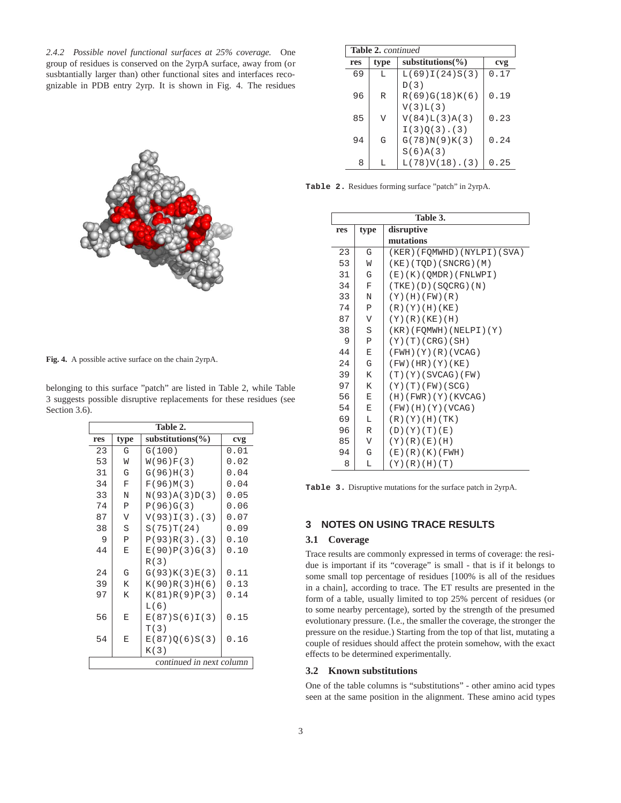*2.4.2 Possible novel functional surfaces at 25% coverage.* One group of residues is conserved on the 2yrpA surface, away from (or susbtantially larger than) other functional sites and interfaces recognizable in PDB entry 2yrp. It is shown in Fig. 4. The residues

**Fig. 4.** A possible active surface on the chain 2yrpA.

 $\sqrt{ }$ 

belonging to this surface "patch" are listed in Table 2, while Table 3 suggests possible disruptive replacements for these residues (see Section 3.6).

| Table 2.                 |              |                       |      |  |
|--------------------------|--------------|-----------------------|------|--|
| res                      | type         | substitutions( $\%$ ) | cvg  |  |
| 23                       | G            | G(100)                | 0.01 |  |
| 53                       | W            | W(96)F(3)             | 0.02 |  |
| 31                       | G            | G(96)H(3)             | 0.04 |  |
| 34                       | $\mathbf F$  | F(96)M(3)             | 0.04 |  |
| 33                       | N            | N(93)A(3)D(3)         | 0.05 |  |
| 74                       | $\mathbf{P}$ | P(96)G(3)             | 0.06 |  |
| 87                       | $\mathbf v$  | $V(93)I(3)$ . (3)     | 0.07 |  |
| 38                       | S            | S(75)T(24)            | 0.09 |  |
| 9                        | $\, {\bf P}$ | $P(93)R(3)$ . (3)     | 0.10 |  |
| 44                       | E            | E(90)P(3)G(3)         | 0.10 |  |
|                          |              | R(3)                  |      |  |
| 2.4                      | G            | G(93)K(3)E(3)         | 0.11 |  |
| 39                       | K            | K(90)R(3)H(6)         | 0.13 |  |
| 97                       | K            | K(81)R(9)P(3)         | 0.14 |  |
|                          |              | L(6)                  |      |  |
| 56                       | E            | E(87)S(6)I(3)         | 0.15 |  |
|                          |              | T(3)                  |      |  |
| 54                       | E            | E(87)Q(6)S(3)         | 0.16 |  |
|                          |              | K(3)                  |      |  |
| continued in next column |              |                       |      |  |

| <b>Table 2.</b> continued |      |                       |      |
|---------------------------|------|-----------------------|------|
| res                       | type | substitutions $(\% )$ | cvg  |
| 69                        | L    | L(69)I(24)S(3)        | 0.17 |
|                           |      | D(3)                  |      |
| 96                        | R    | R(69)G(18)K(6)        | 0.19 |
|                           |      | V(3)L(3)              |      |
| 85                        | V    | V(84)L(3)A(3)         | 0.23 |
|                           |      | $I(3)O(3)$ . (3)      |      |
| 94                        | G    | G(78)N(9)K(3)         | 0.24 |
|                           |      | S(6)A(3)              |      |
| 8                         |      | $L(78)V(18)$ . (3)    | 0.25 |

**Table 2.** Residues forming surface "patch" in 2yrpA.

|     | Table 3.                |                            |  |  |  |
|-----|-------------------------|----------------------------|--|--|--|
| res | type                    | disruptive                 |  |  |  |
|     |                         | mutations                  |  |  |  |
| 23  | G                       | (KER)(FOMWHD)(NYLPI)(SVA)  |  |  |  |
| 53  | W                       | (KE) (TQD) (SNCRG) (M)     |  |  |  |
| 31  | G                       | (E)(K)(QMDR)(FNLWPI)       |  |  |  |
| 34  | F                       | (TKE) (D) (SQCRG) (N)      |  |  |  |
| 33  | N                       | (Y) (H) (FW) (R)           |  |  |  |
| 74  | $\mathsf{P}$            | (R)(Y)(H)(KE)              |  |  |  |
| 87  | $\overline{V}$          | $(Y)$ $(R)$ $(KE)$ $(H)$   |  |  |  |
| 38  | S                       | $(KR)$ (FOMWH) (NELPI) (Y) |  |  |  |
| 9   | $\mathsf{P}$            | (Y)(T)(CRG)(SH)            |  |  |  |
| 44  | Ε                       | (FWH) (Y) (R) (VCAG)       |  |  |  |
| 24  | G                       | $(FW)$ (HR) $(Y)$ (KE)     |  |  |  |
| 39  | K                       | (T)(Y)(SVCAG)(FW)          |  |  |  |
| 97  | K                       | (Y)(T)(FW)(SCG)            |  |  |  |
| 56  | E                       | (H)(FWR)(Y)(KVCAG)         |  |  |  |
| 54  | Ε                       | $(FW)$ (H) (Y) (VCAG)      |  |  |  |
| 69  | L                       | (R)(Y)(H)(TK)              |  |  |  |
| 96  | R                       | (D)(Y)(T)(E)               |  |  |  |
| 85  | $\overline{\mathsf{V}}$ | (Y)(R)(E)(H)               |  |  |  |
| 94  | G                       | (E)(R)(K)(FWH)             |  |  |  |
| 8   | L                       | (Y)(R)(H)(T)               |  |  |  |

**Table 3.** Disruptive mutations for the surface patch in 2yrpA.

# **3 NOTES ON USING TRACE RESULTS**

#### **3.1 Coverage**

Trace results are commonly expressed in terms of coverage: the residue is important if its "coverage" is small - that is if it belongs to some small top percentage of residues [100% is all of the residues in a chain], according to trace. The ET results are presented in the form of a table, usually limited to top 25% percent of residues (or to some nearby percentage), sorted by the strength of the presumed evolutionary pressure. (I.e., the smaller the coverage, the stronger the pressure on the residue.) Starting from the top of that list, mutating a couple of residues should affect the protein somehow, with the exact effects to be determined experimentally.

#### **3.2 Known substitutions**

One of the table columns is "substitutions" - other amino acid types seen at the same position in the alignment. These amino acid types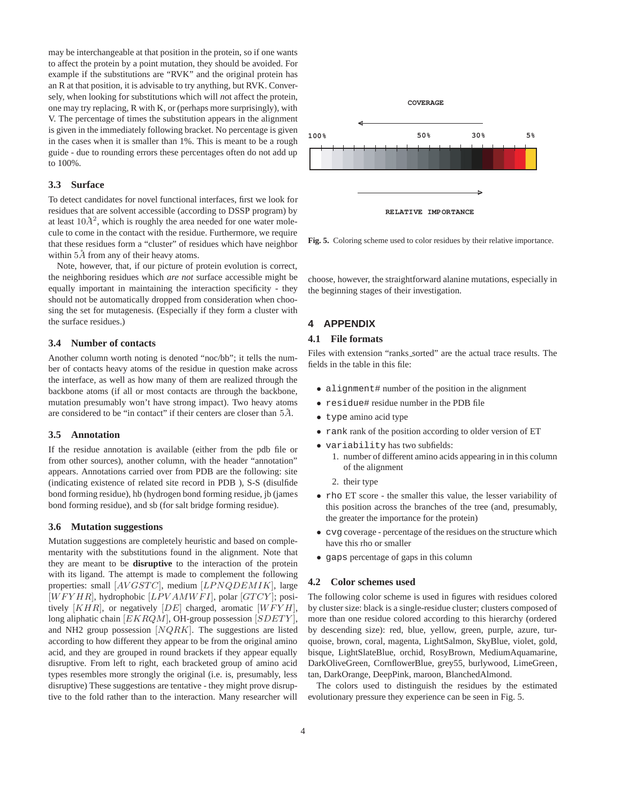may be interchangeable at that position in the protein, so if one wants to affect the protein by a point mutation, they should be avoided. For example if the substitutions are "RVK" and the original protein has an R at that position, it is advisable to try anything, but RVK. Conversely, when looking for substitutions which will *n*ot affect the protein, one may try replacing, R with K, or (perhaps more surprisingly), with V. The percentage of times the substitution appears in the alignment is given in the immediately following bracket. No percentage is given in the cases when it is smaller than 1%. This is meant to be a rough guide - due to rounding errors these percentages often do not add up to 100%.

## **3.3 Surface**

To detect candidates for novel functional interfaces, first we look for residues that are solvent accessible (according to DSSP program) by at least  $10\AA^2$ , which is roughly the area needed for one water molecule to come in the contact with the residue. Furthermore, we require that these residues form a "cluster" of residues which have neighbor within  $5\AA$  from any of their heavy atoms.

Note, however, that, if our picture of protein evolution is correct, the neighboring residues which *are not* surface accessible might be equally important in maintaining the interaction specificity - they should not be automatically dropped from consideration when choosing the set for mutagenesis. (Especially if they form a cluster with the surface residues.)

#### **3.4 Number of contacts**

Another column worth noting is denoted "noc/bb"; it tells the number of contacts heavy atoms of the residue in question make across the interface, as well as how many of them are realized through the backbone atoms (if all or most contacts are through the backbone, mutation presumably won't have strong impact). Two heavy atoms are considered to be "in contact" if their centers are closer than  $5\AA$ .

#### **3.5 Annotation**

If the residue annotation is available (either from the pdb file or from other sources), another column, with the header "annotation" appears. Annotations carried over from PDB are the following: site (indicating existence of related site record in PDB ), S-S (disulfide bond forming residue), hb (hydrogen bond forming residue, jb (james bond forming residue), and sb (for salt bridge forming residue).

#### **3.6 Mutation suggestions**

Mutation suggestions are completely heuristic and based on complementarity with the substitutions found in the alignment. Note that they are meant to be **disruptive** to the interaction of the protein with its ligand. The attempt is made to complement the following properties: small [AVGSTC], medium [LPNQDEMIK], large  $[WFYHR]$ , hydrophobic  $[LPVAMWFI]$ , polar  $[GTCY]$ ; positively  $[KHR]$ , or negatively  $[DE]$  charged, aromatic  $[WFYH]$ , long aliphatic chain [EKRQM], OH-group possession [SDETY], and NH2 group possession [NQRK]. The suggestions are listed according to how different they appear to be from the original amino acid, and they are grouped in round brackets if they appear equally disruptive. From left to right, each bracketed group of amino acid types resembles more strongly the original (i.e. is, presumably, less disruptive) These suggestions are tentative - they might prove disruptive to the fold rather than to the interaction. Many researcher will



**Fig. 5.** Coloring scheme used to color residues by their relative importance.

choose, however, the straightforward alanine mutations, especially in the beginning stages of their investigation.

# **4 APPENDIX**

## **4.1 File formats**

Files with extension "ranks\_sorted" are the actual trace results. The fields in the table in this file:

- alignment# number of the position in the alignment
- residue# residue number in the PDB file
- type amino acid type
- rank rank of the position according to older version of ET
- variability has two subfields:
	- 1. number of different amino acids appearing in in this column of the alignment
	- 2. their type
- rho ET score the smaller this value, the lesser variability of this position across the branches of the tree (and, presumably, the greater the importance for the protein)
- cvg coverage percentage of the residues on the structure which have this rho or smaller
- gaps percentage of gaps in this column

#### **4.2 Color schemes used**

The following color scheme is used in figures with residues colored by cluster size: black is a single-residue cluster; clusters composed of more than one residue colored according to this hierarchy (ordered by descending size): red, blue, yellow, green, purple, azure, turquoise, brown, coral, magenta, LightSalmon, SkyBlue, violet, gold, bisque, LightSlateBlue, orchid, RosyBrown, MediumAquamarine, DarkOliveGreen, CornflowerBlue, grey55, burlywood, LimeGreen, tan, DarkOrange, DeepPink, maroon, BlanchedAlmond.

The colors used to distinguish the residues by the estimated evolutionary pressure they experience can be seen in Fig. 5.